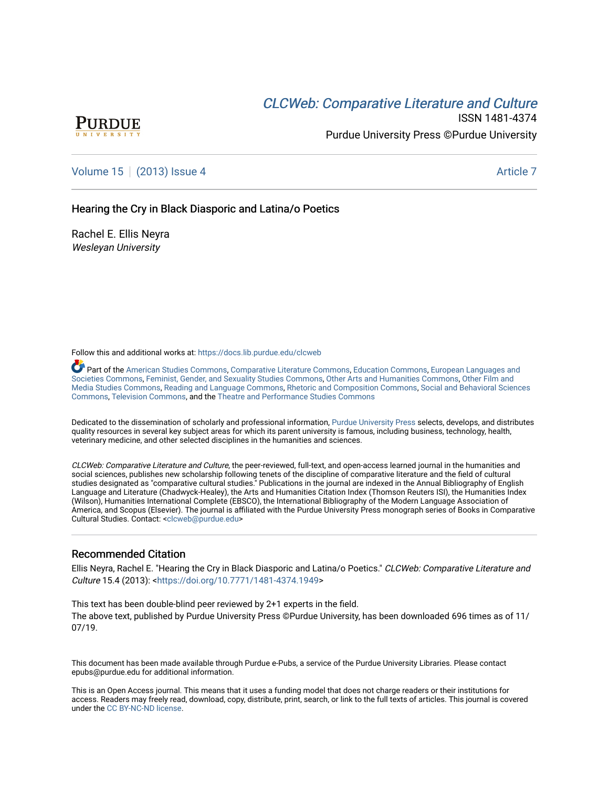## **CLCW[eb: Comparative Liter](https://docs.lib.purdue.edu/clcweb)ature and Culture**



ISSN 1481-4374 Purdue University Press ©Purdue University

## [Volume 15](https://docs.lib.purdue.edu/clcweb/vol15) | [\(2013\) Issue 4](https://docs.lib.purdue.edu/clcweb/vol15/iss4) Article 7

## Hearing the Cry in Black Diasporic and Latina/o Poetics

Rachel E. Ellis Neyra Wesleyan University

Follow this and additional works at: [https://docs.lib.purdue.edu/clcweb](https://docs.lib.purdue.edu/clcweb?utm_source=docs.lib.purdue.edu%2Fclcweb%2Fvol15%2Fiss4%2F7&utm_medium=PDF&utm_campaign=PDFCoverPages)

Part of the [American Studies Commons](http://network.bepress.com/hgg/discipline/439?utm_source=docs.lib.purdue.edu%2Fclcweb%2Fvol15%2Fiss4%2F7&utm_medium=PDF&utm_campaign=PDFCoverPages), [Comparative Literature Commons,](http://network.bepress.com/hgg/discipline/454?utm_source=docs.lib.purdue.edu%2Fclcweb%2Fvol15%2Fiss4%2F7&utm_medium=PDF&utm_campaign=PDFCoverPages) [Education Commons,](http://network.bepress.com/hgg/discipline/784?utm_source=docs.lib.purdue.edu%2Fclcweb%2Fvol15%2Fiss4%2F7&utm_medium=PDF&utm_campaign=PDFCoverPages) [European Languages and](http://network.bepress.com/hgg/discipline/482?utm_source=docs.lib.purdue.edu%2Fclcweb%2Fvol15%2Fiss4%2F7&utm_medium=PDF&utm_campaign=PDFCoverPages) [Societies Commons](http://network.bepress.com/hgg/discipline/482?utm_source=docs.lib.purdue.edu%2Fclcweb%2Fvol15%2Fiss4%2F7&utm_medium=PDF&utm_campaign=PDFCoverPages), [Feminist, Gender, and Sexuality Studies Commons,](http://network.bepress.com/hgg/discipline/559?utm_source=docs.lib.purdue.edu%2Fclcweb%2Fvol15%2Fiss4%2F7&utm_medium=PDF&utm_campaign=PDFCoverPages) [Other Arts and Humanities Commons](http://network.bepress.com/hgg/discipline/577?utm_source=docs.lib.purdue.edu%2Fclcweb%2Fvol15%2Fiss4%2F7&utm_medium=PDF&utm_campaign=PDFCoverPages), [Other Film and](http://network.bepress.com/hgg/discipline/565?utm_source=docs.lib.purdue.edu%2Fclcweb%2Fvol15%2Fiss4%2F7&utm_medium=PDF&utm_campaign=PDFCoverPages)  [Media Studies Commons](http://network.bepress.com/hgg/discipline/565?utm_source=docs.lib.purdue.edu%2Fclcweb%2Fvol15%2Fiss4%2F7&utm_medium=PDF&utm_campaign=PDFCoverPages), [Reading and Language Commons](http://network.bepress.com/hgg/discipline/1037?utm_source=docs.lib.purdue.edu%2Fclcweb%2Fvol15%2Fiss4%2F7&utm_medium=PDF&utm_campaign=PDFCoverPages), [Rhetoric and Composition Commons,](http://network.bepress.com/hgg/discipline/573?utm_source=docs.lib.purdue.edu%2Fclcweb%2Fvol15%2Fiss4%2F7&utm_medium=PDF&utm_campaign=PDFCoverPages) [Social and Behavioral Sciences](http://network.bepress.com/hgg/discipline/316?utm_source=docs.lib.purdue.edu%2Fclcweb%2Fvol15%2Fiss4%2F7&utm_medium=PDF&utm_campaign=PDFCoverPages) [Commons,](http://network.bepress.com/hgg/discipline/316?utm_source=docs.lib.purdue.edu%2Fclcweb%2Fvol15%2Fiss4%2F7&utm_medium=PDF&utm_campaign=PDFCoverPages) [Television Commons,](http://network.bepress.com/hgg/discipline/1143?utm_source=docs.lib.purdue.edu%2Fclcweb%2Fvol15%2Fiss4%2F7&utm_medium=PDF&utm_campaign=PDFCoverPages) and the [Theatre and Performance Studies Commons](http://network.bepress.com/hgg/discipline/552?utm_source=docs.lib.purdue.edu%2Fclcweb%2Fvol15%2Fiss4%2F7&utm_medium=PDF&utm_campaign=PDFCoverPages)

Dedicated to the dissemination of scholarly and professional information, [Purdue University Press](http://www.thepress.purdue.edu/) selects, develops, and distributes quality resources in several key subject areas for which its parent university is famous, including business, technology, health, veterinary medicine, and other selected disciplines in the humanities and sciences.

CLCWeb: Comparative Literature and Culture, the peer-reviewed, full-text, and open-access learned journal in the humanities and social sciences, publishes new scholarship following tenets of the discipline of comparative literature and the field of cultural studies designated as "comparative cultural studies." Publications in the journal are indexed in the Annual Bibliography of English Language and Literature (Chadwyck-Healey), the Arts and Humanities Citation Index (Thomson Reuters ISI), the Humanities Index (Wilson), Humanities International Complete (EBSCO), the International Bibliography of the Modern Language Association of America, and Scopus (Elsevier). The journal is affiliated with the Purdue University Press monograph series of Books in Comparative Cultural Studies. Contact: [<clcweb@purdue.edu](mailto:clcweb@purdue.edu)>

### Recommended Citation

Ellis Neyra, Rachel E. "Hearing the Cry in Black Diasporic and Latina/o Poetics." CLCWeb: Comparative Literature and Culture 15.4 (2013): <[https://doi.org/10.7771/1481-4374.1949>](https://doi.org/10.7771/1481-4374.1949)

This text has been double-blind peer reviewed by 2+1 experts in the field. The above text, published by Purdue University Press ©Purdue University, has been downloaded 696 times as of 11/ 07/19.

This document has been made available through Purdue e-Pubs, a service of the Purdue University Libraries. Please contact epubs@purdue.edu for additional information.

This is an Open Access journal. This means that it uses a funding model that does not charge readers or their institutions for access. Readers may freely read, download, copy, distribute, print, search, or link to the full texts of articles. This journal is covered under the [CC BY-NC-ND license.](https://creativecommons.org/licenses/by-nc-nd/4.0/)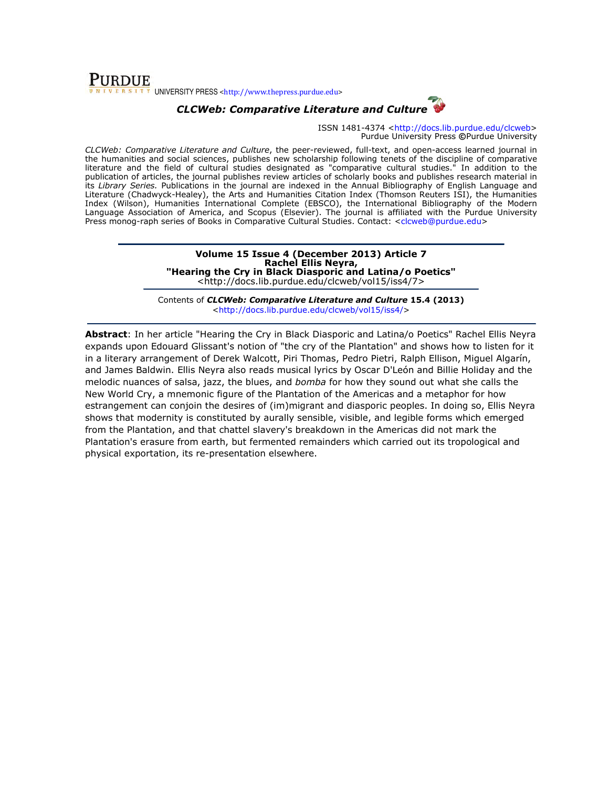

# CLCWeb: Comparative Literature and Culture

ISSN 1481-4374 <http://docs.lib.purdue.edu/clcweb> Purdue University Press ©Purdue University

CLCWeb: Comparative Literature and Culture, the peer-reviewed, full-text, and open-access learned journal in the humanities and social sciences, publishes new scholarship following tenets of the discipline of comparative literature and the field of cultural studies designated as "comparative cultural studies." In addition to the publication of articles, the journal publishes review articles of scholarly books and publishes research material in its Library Series. Publications in the journal are indexed in the Annual Bibliography of English Language and Literature (Chadwyck-Healey), the Arts and Humanities Citation Index (Thomson Reuters ISI), the Humanities Index (Wilson), Humanities International Complete (EBSCO), the International Bibliography of the Modern Language Association of America, and Scopus (Elsevier). The journal is affiliated with the Purdue University Press monog-raph series of Books in Comparative Cultural Studies. Contact: <clcweb@purdue.edu>

#### Volume 15 Issue 4 (December 2013) Article 7 Rachel Ellis Neyra, "Hearing the Cry in Black Diasporic and Latina/o Poetics" <http://docs.lib.purdue.edu/clcweb/vol15/iss4/7>

Contents of CLCWeb: Comparative Literature and Culture 15.4 (2013) <http://docs.lib.purdue.edu/clcweb/vol15/iss4/>

Abstract: In her article "Hearing the Cry in Black Diasporic and Latina/o Poetics" Rachel Ellis Neyra expands upon Edouard Glissant's notion of "the cry of the Plantation" and shows how to listen for it in a literary arrangement of Derek Walcott, Piri Thomas, Pedro Pietri, Ralph Ellison, Miguel Algarín, and James Baldwin. Ellis Neyra also reads musical lyrics by Oscar D'León and Billie Holiday and the melodic nuances of salsa, jazz, the blues, and bomba for how they sound out what she calls the New World Cry, a mnemonic figure of the Plantation of the Americas and a metaphor for how estrangement can conjoin the desires of (im)migrant and diasporic peoples. In doing so, Ellis Neyra shows that modernity is constituted by aurally sensible, visible, and legible forms which emerged from the Plantation, and that chattel slavery's breakdown in the Americas did not mark the Plantation's erasure from earth, but fermented remainders which carried out its tropological and physical exportation, its re-presentation elsewhere.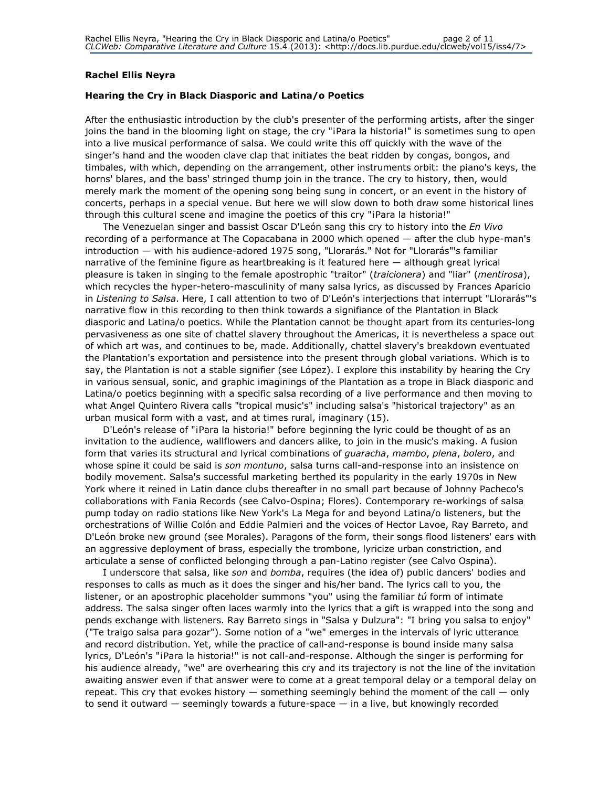### Rachel Ellis Neyra

### Hearing the Cry in Black Diasporic and Latina/o Poetics

After the enthusiastic introduction by the club's presenter of the performing artists, after the singer joins the band in the blooming light on stage, the cry "iPara la historia!" is sometimes sung to open into a live musical performance of salsa. We could write this off quickly with the wave of the singer's hand and the wooden clave clap that initiates the beat ridden by congas, bongos, and timbales, with which, depending on the arrangement, other instruments orbit: the piano's keys, the horns' blares, and the bass' stringed thump join in the trance. The cry to history, then, would merely mark the moment of the opening song being sung in concert, or an event in the history of concerts, perhaps in a special venue. But here we will slow down to both draw some historical lines through this cultural scene and imagine the poetics of this cry "¡Para la historia!"

The Venezuelan singer and bassist Oscar D'León sang this cry to history into the En Vivo recording of a performance at The Copacabana in 2000 which opened — after the club hype-man's introduction — with his audience-adored 1975 song, "Llorarás." Not for "Llorarás"'s familiar narrative of the feminine figure as heartbreaking is it featured here — although great lyrical pleasure is taken in singing to the female apostrophic "traitor" (traicionera) and "liar" (mentirosa), which recycles the hyper-hetero-masculinity of many salsa lyrics, as discussed by Frances Aparicio in Listening to Salsa. Here, I call attention to two of D'León's interjections that interrupt "Llorarás"'s narrative flow in this recording to then think towards a signifiance of the Plantation in Black diasporic and Latina/o poetics. While the Plantation cannot be thought apart from its centuries-long pervasiveness as one site of chattel slavery throughout the Americas, it is nevertheless a space out of which art was, and continues to be, made. Additionally, chattel slavery's breakdown eventuated the Plantation's exportation and persistence into the present through global variations. Which is to say, the Plantation is not a stable signifier (see López). I explore this instability by hearing the Cry in various sensual, sonic, and graphic imaginings of the Plantation as a trope in Black diasporic and Latina/o poetics beginning with a specific salsa recording of a live performance and then moving to what Angel Quintero Rivera calls "tropical music's" including salsa's "historical trajectory" as an urban musical form with a vast, and at times rural, imaginary (15).

D'León's release of "¡Para la historia!" before beginning the lyric could be thought of as an invitation to the audience, wallflowers and dancers alike, to join in the music's making. A fusion form that varies its structural and lyrical combinations of guaracha, mambo, plena, bolero, and whose spine it could be said is son montuno, salsa turns call-and-response into an insistence on bodily movement. Salsa's successful marketing berthed its popularity in the early 1970s in New York where it reined in Latin dance clubs thereafter in no small part because of Johnny Pacheco's collaborations with Fania Records (see Calvo-Ospina; Flores). Contemporary re-workings of salsa pump today on radio stations like New York's La Mega for and beyond Latina/o listeners, but the orchestrations of Willie Colón and Eddie Palmieri and the voices of Hector Lavoe, Ray Barreto, and D'León broke new ground (see Morales). Paragons of the form, their songs flood listeners' ears with an aggressive deployment of brass, especially the trombone, lyricize urban constriction, and articulate a sense of conflicted belonging through a pan-Latino register (see Calvo Ospina).

I underscore that salsa, like son and bomba, requires (the idea of) public dancers' bodies and responses to calls as much as it does the singer and his/her band. The lyrics call to you, the listener, or an apostrophic placeholder summons "you" using the familiar  $t\acute{u}$  form of intimate address. The salsa singer often laces warmly into the lyrics that a gift is wrapped into the song and pends exchange with listeners. Ray Barreto sings in "Salsa y Dulzura": "I bring you salsa to enjoy" ("Te traigo salsa para gozar"). Some notion of a "we" emerges in the intervals of lyric utterance and record distribution. Yet, while the practice of call-and-response is bound inside many salsa lyrics, D'León's "¡Para la historia!" is not call-and-response. Although the singer is performing for his audience already, "we" are overhearing this cry and its trajectory is not the line of the invitation awaiting answer even if that answer were to come at a great temporal delay or a temporal delay on repeat. This cry that evokes history  $-$  something seemingly behind the moment of the call  $-$  only to send it outward — seemingly towards a future-space — in a live, but knowingly recorded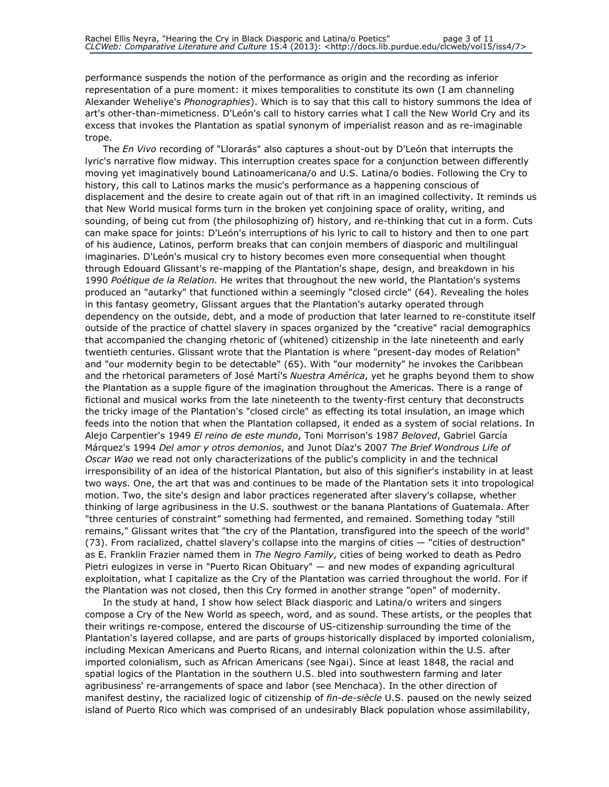performance suspends the notion of the performance as origin and the recording as inferior representation of a pure moment: it mixes temporalities to constitute its own (I am channeling Alexander Weheliye's *Phonographies*). Which is to say that this call to history summons the idea of art's other-than-mimeticness. D'León's call to history carries what I call the New World Cry and its excess that invokes the Plantation as spatial synonym of imperialist reason and as re-imaginable trope.

The *En Vivo* recording of "Llorarás" also captures a shout-out by D'León that interrupts the lyric's narrative flow midway. This interruption creates space for a conjunction between differently moving yet imaginatively bound Latinoamericana/o and U.S. Latina/o bodies. Following the Cry to history, this call to Latinos marks the music's performance as a happening conscious of displacement and the desire to create again out of that rift in an imagined collectivity. It reminds us that New World musical forms turn in the broken yet conjoining space of orality, writing, and sounding, of being cut from (the philosophizing of) history, and re-thinking that cut in a form. Cuts can make space for joints: D'León's interruptions of his lyric to call to history and then to one part of his audience, Latinos, perform breaks that can conjoin members of diasporic and multilingual imaginaries. D'León's musical cry to history becomes even more consequential when thought through Edouard Glissant's re-mapping of the Plantation's shape, design, and breakdown in his 1990 Poétique de la Relation. He writes that throughout the new world, the Plantation's systems produced an "autarky" that functioned within a seemingly "closed circle" (64). Revealing the holes in this fantasy geometry, Glissant argues that the Plantation's autarky operated through dependency on the outside, debt, and a mode of production that later learned to re-constitute itself outside of the practice of chattel slavery in spaces organized by the "creative" racial demographics that accompanied the changing rhetoric of (whitened) citizenship in the late nineteenth and early twentieth centuries. Glissant wrote that the Plantation is where "present-day modes of Relation" and "our modernity begin to be detectable" (65). With "our modernity" he invokes the Caribbean and the rhetorical parameters of José Martí's Nuestra América, yet he graphs beyond them to show the Plantation as a supple figure of the imagination throughout the Americas. There is a range of fictional and musical works from the late nineteenth to the twenty-first century that deconstructs the tricky image of the Plantation's "closed circle" as effecting its total insulation, an image which feeds into the notion that when the Plantation collapsed, it ended as a system of social relations. In Alejo Carpentier's 1949 El reino de este mundo, Toni Morrison's 1987 Beloved, Gabriel García Márquez's 1994 Del amor y otros demonios, and Junot Díaz's 2007 The Brief Wondrous Life of Oscar Wao we read not only characterizations of the public's complicity in and the technical irresponsibility of an idea of the historical Plantation, but also of this signifier's instability in at least two ways. One, the art that was and continues to be made of the Plantation sets it into tropological motion. Two, the site's design and labor practices regenerated after slavery's collapse, whether thinking of large agribusiness in the U.S. southwest or the banana Plantations of Guatemala. After "three centuries of constraint" something had fermented, and remained. Something today "still remains," Glissant writes that "the cry of the Plantation, transfigured into the speech of the world" (73). From racialized, chattel slavery's collapse into the margins of cities — "cities of destruction" as E. Franklin Frazier named them in The Negro Family, cities of being worked to death as Pedro Pietri eulogizes in verse in "Puerto Rican Obituary" — and new modes of expanding agricultural exploitation, what I capitalize as the Cry of the Plantation was carried throughout the world. For if the Plantation was not closed, then this Cry formed in another strange "open" of modernity.

In the study at hand, I show how select Black diasporic and Latina/o writers and singers compose a Cry of the New World as speech, word, and as sound. These artists, or the peoples that their writings re-compose, entered the discourse of US-citizenship surrounding the time of the Plantation's layered collapse, and are parts of groups historically displaced by imported colonialism, including Mexican Americans and Puerto Ricans, and internal colonization within the U.S. after imported colonialism, such as African Americans (see Ngai). Since at least 1848, the racial and spatial logics of the Plantation in the southern U.S. bled into southwestern farming and later agribusiness' re-arrangements of space and labor (see Menchaca). In the other direction of manifest destiny, the racialized logic of citizenship of fin-de-siècle U.S. paused on the newly seized island of Puerto Rico which was comprised of an undesirably Black population whose assimilability,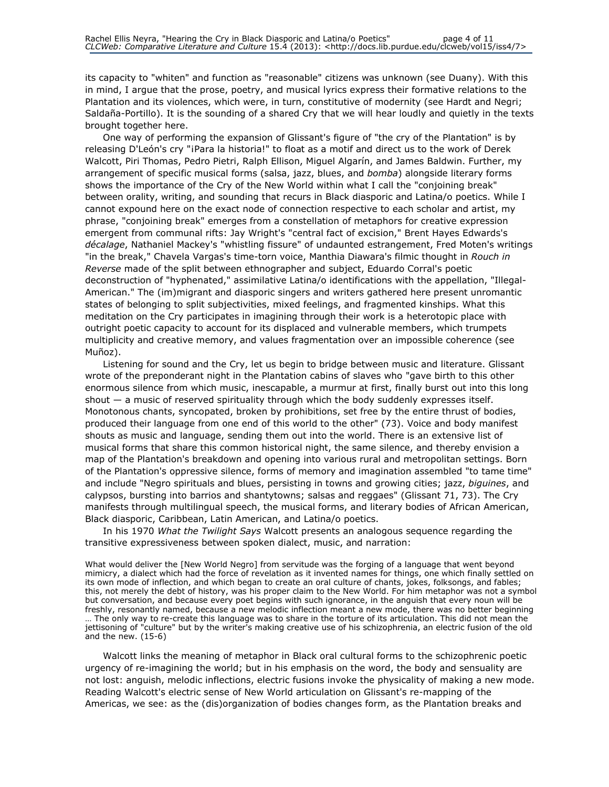its capacity to "whiten" and function as "reasonable" citizens was unknown (see Duany). With this in mind, I argue that the prose, poetry, and musical lyrics express their formative relations to the Plantation and its violences, which were, in turn, constitutive of modernity (see Hardt and Negri; Saldaña-Portillo). It is the sounding of a shared Cry that we will hear loudly and quietly in the texts brought together here.

One way of performing the expansion of Glissant's figure of "the cry of the Plantation" is by releasing D'León's cry "¡Para la historia!" to float as a motif and direct us to the work of Derek Walcott, Piri Thomas, Pedro Pietri, Ralph Ellison, Miguel Algarín, and James Baldwin. Further, my arrangement of specific musical forms (salsa, jazz, blues, and bomba) alongside literary forms shows the importance of the Cry of the New World within what I call the "conjoining break" between orality, writing, and sounding that recurs in Black diasporic and Latina/o poetics. While I cannot expound here on the exact node of connection respective to each scholar and artist, my phrase, "conjoining break" emerges from a constellation of metaphors for creative expression emergent from communal rifts: Jay Wright's "central fact of excision," Brent Hayes Edwards's décalage, Nathaniel Mackey's "whistling fissure" of undaunted estrangement, Fred Moten's writings "in the break," Chavela Vargas's time-torn voice, Manthia Diawara's filmic thought in Rouch in Reverse made of the split between ethnographer and subject, Eduardo Corral's poetic deconstruction of "hyphenated," assimilative Latina/o identifications with the appellation, "Illegal-American." The (im)migrant and diasporic singers and writers gathered here present unromantic states of belonging to split subjectivities, mixed feelings, and fragmented kinships. What this meditation on the Cry participates in imagining through their work is a heterotopic place with outright poetic capacity to account for its displaced and vulnerable members, which trumpets multiplicity and creative memory, and values fragmentation over an impossible coherence (see Muñoz).

Listening for sound and the Cry, let us begin to bridge between music and literature. Glissant wrote of the preponderant night in the Plantation cabins of slaves who "gave birth to this other enormous silence from which music, inescapable, a murmur at first, finally burst out into this long shout — a music of reserved spirituality through which the body suddenly expresses itself. Monotonous chants, syncopated, broken by prohibitions, set free by the entire thrust of bodies, produced their language from one end of this world to the other" (73). Voice and body manifest shouts as music and language, sending them out into the world. There is an extensive list of musical forms that share this common historical night, the same silence, and thereby envision a map of the Plantation's breakdown and opening into various rural and metropolitan settings. Born of the Plantation's oppressive silence, forms of memory and imagination assembled "to tame time" and include "Negro spirituals and blues, persisting in towns and growing cities; jazz, biguines, and calypsos, bursting into barrios and shantytowns; salsas and reggaes" (Glissant 71, 73). The Cry manifests through multilingual speech, the musical forms, and literary bodies of African American, Black diasporic, Caribbean, Latin American, and Latina/o poetics.

In his 1970 What the Twilight Says Walcott presents an analogous sequence regarding the transitive expressiveness between spoken dialect, music, and narration:

What would deliver the [New World Negro] from servitude was the forging of a language that went beyond mimicry, a dialect which had the force of revelation as it invented names for things, one which finally settled on its own mode of inflection, and which began to create an oral culture of chants, jokes, folksongs, and fables; this, not merely the debt of history, was his proper claim to the New World. For him metaphor was not a symbol but conversation, and because every poet begins with such ignorance, in the anguish that every noun will be freshly, resonantly named, because a new melodic inflection meant a new mode, there was no better beginning … The only way to re-create this language was to share in the torture of its articulation. This did not mean the jettisoning of "culture" but by the writer's making creative use of his schizophrenia, an electric fusion of the old and the new. (15-6)

Walcott links the meaning of metaphor in Black oral cultural forms to the schizophrenic poetic urgency of re-imagining the world; but in his emphasis on the word, the body and sensuality are not lost: anguish, melodic inflections, electric fusions invoke the physicality of making a new mode. Reading Walcott's electric sense of New World articulation on Glissant's re-mapping of the Americas, we see: as the (dis)organization of bodies changes form, as the Plantation breaks and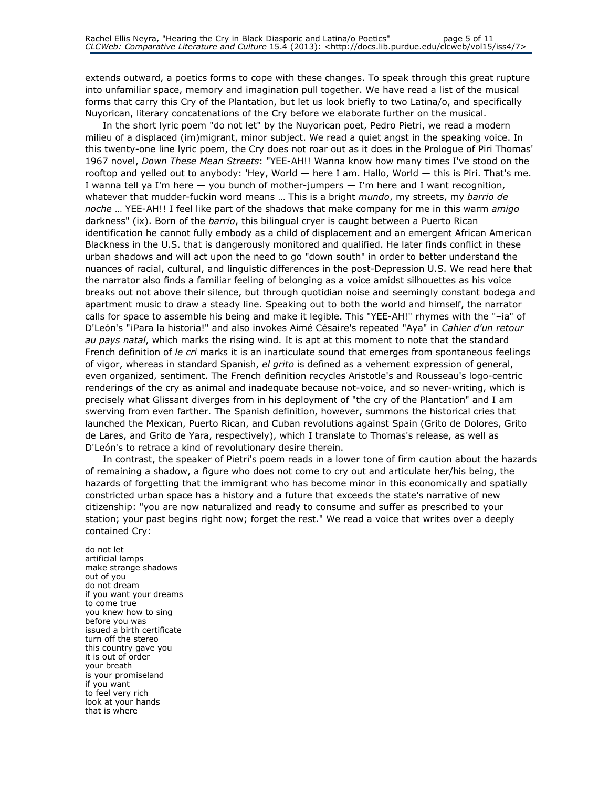extends outward, a poetics forms to cope with these changes. To speak through this great rupture into unfamiliar space, memory and imagination pull together. We have read a list of the musical forms that carry this Cry of the Plantation, but let us look briefly to two Latina/o, and specifically Nuyorican, literary concatenations of the Cry before we elaborate further on the musical.

In the short lyric poem "do not let" by the Nuyorican poet, Pedro Pietri, we read a modern milieu of a displaced (im)migrant, minor subject. We read a quiet angst in the speaking voice. In this twenty-one line lyric poem, the Cry does not roar out as it does in the Prologue of Piri Thomas' 1967 novel, Down These Mean Streets: "YEE-AH!! Wanna know how many times I've stood on the rooftop and yelled out to anybody: 'Hey, World — here I am. Hallo, World — this is Piri. That's me. I wanna tell ya I'm here — you bunch of mother-jumpers — I'm here and I want recognition, whatever that mudder-fuckin word means ... This is a bright mundo, my streets, my barrio de noche ... YEE-AH!! I feel like part of the shadows that make company for me in this warm *amigo* darkness" (ix). Born of the barrio, this bilingual cryer is caught between a Puerto Rican identification he cannot fully embody as a child of displacement and an emergent African American Blackness in the U.S. that is dangerously monitored and qualified. He later finds conflict in these urban shadows and will act upon the need to go "down south" in order to better understand the nuances of racial, cultural, and linguistic differences in the post-Depression U.S. We read here that the narrator also finds a familiar feeling of belonging as a voice amidst silhouettes as his voice breaks out not above their silence, but through quotidian noise and seemingly constant bodega and apartment music to draw a steady line. Speaking out to both the world and himself, the narrator calls for space to assemble his being and make it legible. This "YEE-AH!" rhymes with the "–ia" of D'León's "iPara la historia!" and also invokes Aimé Césaire's repeated "Aya" in Cahier d'un retour au pays natal, which marks the rising wind. It is apt at this moment to note that the standard French definition of le cri marks it is an inarticulate sound that emerges from spontaneous feelings of vigor, whereas in standard Spanish, *el grito* is defined as a vehement expression of general, even organized, sentiment. The French definition recycles Aristotle's and Rousseau's logo-centric renderings of the cry as animal and inadequate because not-voice, and so never-writing, which is precisely what Glissant diverges from in his deployment of "the cry of the Plantation" and I am swerving from even farther. The Spanish definition, however, summons the historical cries that launched the Mexican, Puerto Rican, and Cuban revolutions against Spain (Grito de Dolores, Grito de Lares, and Grito de Yara, respectively), which I translate to Thomas's release, as well as D'León's to retrace a kind of revolutionary desire therein.

In contrast, the speaker of Pietri's poem reads in a lower tone of firm caution about the hazards of remaining a shadow, a figure who does not come to cry out and articulate her/his being, the hazards of forgetting that the immigrant who has become minor in this economically and spatially constricted urban space has a history and a future that exceeds the state's narrative of new citizenship: "you are now naturalized and ready to consume and suffer as prescribed to your station; your past begins right now; forget the rest." We read a voice that writes over a deeply contained Cry:

do not let artificial lamps make strange shadows out of you do not dream if you want your dreams to come true you knew how to sing before you was issued a birth certificate turn off the stereo this country gave you it is out of order your breath is your promiseland if you want to feel very rich look at your hands that is where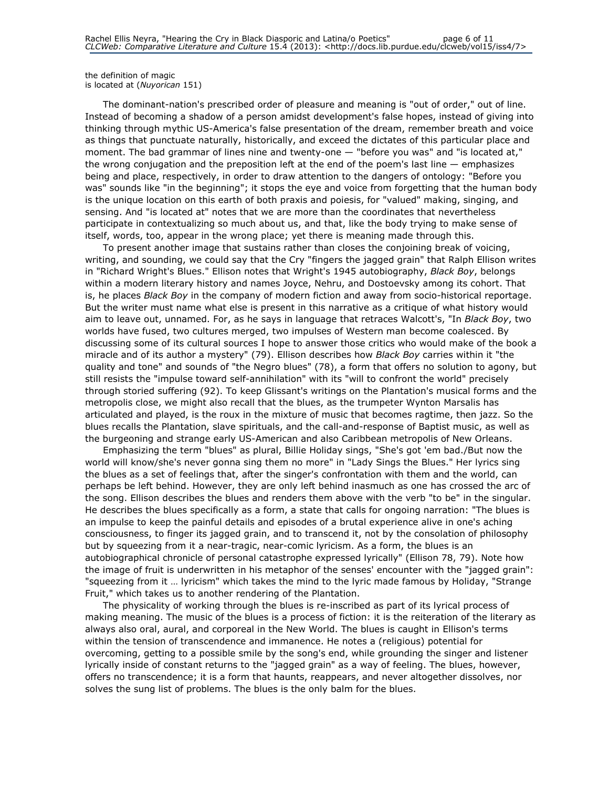the definition of magic is located at (Nuyorican 151)

The dominant-nation's prescribed order of pleasure and meaning is "out of order," out of line. Instead of becoming a shadow of a person amidst development's false hopes, instead of giving into thinking through mythic US-America's false presentation of the dream, remember breath and voice as things that punctuate naturally, historically, and exceed the dictates of this particular place and moment. The bad grammar of lines nine and twenty-one — "before you was" and "is located at," the wrong conjugation and the preposition left at the end of the poem's last line  $-$  emphasizes being and place, respectively, in order to draw attention to the dangers of ontology: "Before you was" sounds like "in the beginning"; it stops the eye and voice from forgetting that the human body is the unique location on this earth of both praxis and poiesis, for "valued" making, singing, and sensing. And "is located at" notes that we are more than the coordinates that nevertheless participate in contextualizing so much about us, and that, like the body trying to make sense of itself, words, too, appear in the wrong place; yet there is meaning made through this.

To present another image that sustains rather than closes the conjoining break of voicing, writing, and sounding, we could say that the Cry "fingers the jagged grain" that Ralph Ellison writes in "Richard Wright's Blues." Ellison notes that Wright's 1945 autobiography, Black Boy, belongs within a modern literary history and names Joyce, Nehru, and Dostoevsky among its cohort. That is, he places Black Boy in the company of modern fiction and away from socio-historical reportage. But the writer must name what else is present in this narrative as a critique of what history would aim to leave out, unnamed. For, as he says in language that retraces Walcott's, "In Black Boy, two worlds have fused, two cultures merged, two impulses of Western man become coalesced. By discussing some of its cultural sources I hope to answer those critics who would make of the book a miracle and of its author a mystery" (79). Ellison describes how Black Boy carries within it "the quality and tone" and sounds of "the Negro blues" (78), a form that offers no solution to agony, but still resists the "impulse toward self-annihilation" with its "will to confront the world" precisely through storied suffering (92). To keep Glissant's writings on the Plantation's musical forms and the metropolis close, we might also recall that the blues, as the trumpeter Wynton Marsalis has articulated and played, is the roux in the mixture of music that becomes ragtime, then jazz. So the blues recalls the Plantation, slave spirituals, and the call-and-response of Baptist music, as well as the burgeoning and strange early US-American and also Caribbean metropolis of New Orleans.

Emphasizing the term "blues" as plural, Billie Holiday sings, "She's got 'em bad./But now the world will know/she's never gonna sing them no more" in "Lady Sings the Blues." Her lyrics sing the blues as a set of feelings that, after the singer's confrontation with them and the world, can perhaps be left behind. However, they are only left behind inasmuch as one has crossed the arc of the song. Ellison describes the blues and renders them above with the verb "to be" in the singular. He describes the blues specifically as a form, a state that calls for ongoing narration: "The blues is an impulse to keep the painful details and episodes of a brutal experience alive in one's aching consciousness, to finger its jagged grain, and to transcend it, not by the consolation of philosophy but by squeezing from it a near-tragic, near-comic lyricism. As a form, the blues is an autobiographical chronicle of personal catastrophe expressed lyrically" (Ellison 78, 79). Note how the image of fruit is underwritten in his metaphor of the senses' encounter with the "jagged grain": "squeezing from it … lyricism" which takes the mind to the lyric made famous by Holiday, "Strange Fruit," which takes us to another rendering of the Plantation.

The physicality of working through the blues is re-inscribed as part of its lyrical process of making meaning. The music of the blues is a process of fiction: it is the reiteration of the literary as always also oral, aural, and corporeal in the New World. The blues is caught in Ellison's terms within the tension of transcendence and immanence. He notes a (religious) potential for overcoming, getting to a possible smile by the song's end, while grounding the singer and listener lyrically inside of constant returns to the "jagged grain" as a way of feeling. The blues, however, offers no transcendence; it is a form that haunts, reappears, and never altogether dissolves, nor solves the sung list of problems. The blues is the only balm for the blues.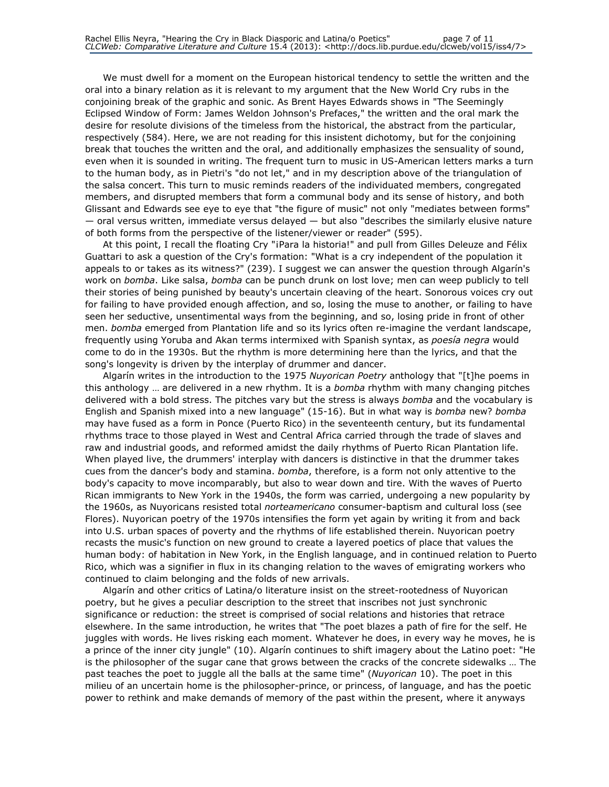We must dwell for a moment on the European historical tendency to settle the written and the oral into a binary relation as it is relevant to my argument that the New World Cry rubs in the conjoining break of the graphic and sonic. As Brent Hayes Edwards shows in "The Seemingly Eclipsed Window of Form: James Weldon Johnson's Prefaces," the written and the oral mark the desire for resolute divisions of the timeless from the historical, the abstract from the particular, respectively (584). Here, we are not reading for this insistent dichotomy, but for the conjoining break that touches the written and the oral, and additionally emphasizes the sensuality of sound, even when it is sounded in writing. The frequent turn to music in US-American letters marks a turn to the human body, as in Pietri's "do not let," and in my description above of the triangulation of the salsa concert. This turn to music reminds readers of the individuated members, congregated members, and disrupted members that form a communal body and its sense of history, and both Glissant and Edwards see eye to eye that "the figure of music" not only "mediates between forms" — oral versus written, immediate versus delayed — but also "describes the similarly elusive nature of both forms from the perspective of the listener/viewer or reader" (595).

At this point, I recall the floating Cry "¡Para la historia!" and pull from Gilles Deleuze and Félix Guattari to ask a question of the Cry's formation: "What is a cry independent of the population it appeals to or takes as its witness?" (239). I suggest we can answer the question through Algarín's work on bomba. Like salsa, bomba can be punch drunk on lost love; men can weep publicly to tell their stories of being punished by beauty's uncertain cleaving of the heart. Sonorous voices cry out for failing to have provided enough affection, and so, losing the muse to another, or failing to have seen her seductive, unsentimental ways from the beginning, and so, losing pride in front of other men. bomba emerged from Plantation life and so its lyrics often re-imagine the verdant landscape, frequently using Yoruba and Akan terms intermixed with Spanish syntax, as *poesía negra* would come to do in the 1930s. But the rhythm is more determining here than the lyrics, and that the song's longevity is driven by the interplay of drummer and dancer.

Algarín writes in the introduction to the 1975 Nuyorican Poetry anthology that "[t]he poems in this anthology ... are delivered in a new rhythm. It is a bomba rhythm with many changing pitches delivered with a bold stress. The pitches vary but the stress is always bomba and the vocabulary is English and Spanish mixed into a new language" (15-16). But in what way is bomba new? bomba may have fused as a form in Ponce (Puerto Rico) in the seventeenth century, but its fundamental rhythms trace to those played in West and Central Africa carried through the trade of slaves and raw and industrial goods, and reformed amidst the daily rhythms of Puerto Rican Plantation life. When played live, the drummers' interplay with dancers is distinctive in that the drummer takes cues from the dancer's body and stamina. *bomba*, therefore, is a form not only attentive to the body's capacity to move incomparably, but also to wear down and tire. With the waves of Puerto Rican immigrants to New York in the 1940s, the form was carried, undergoing a new popularity by the 1960s, as Nuyoricans resisted total norteamericano consumer-baptism and cultural loss (see Flores). Nuyorican poetry of the 1970s intensifies the form yet again by writing it from and back into U.S. urban spaces of poverty and the rhythms of life established therein. Nuyorican poetry recasts the music's function on new ground to create a layered poetics of place that values the human body: of habitation in New York, in the English language, and in continued relation to Puerto Rico, which was a signifier in flux in its changing relation to the waves of emigrating workers who continued to claim belonging and the folds of new arrivals.

Algarín and other critics of Latina/o literature insist on the street-rootedness of Nuyorican poetry, but he gives a peculiar description to the street that inscribes not just synchronic significance or reduction: the street is comprised of social relations and histories that retrace elsewhere. In the same introduction, he writes that "The poet blazes a path of fire for the self. He juggles with words. He lives risking each moment. Whatever he does, in every way he moves, he is a prince of the inner city jungle" (10). Algarín continues to shift imagery about the Latino poet: "He is the philosopher of the sugar cane that grows between the cracks of the concrete sidewalks … The past teaches the poet to juggle all the balls at the same time" (Nuyorican 10). The poet in this milieu of an uncertain home is the philosopher-prince, or princess, of language, and has the poetic power to rethink and make demands of memory of the past within the present, where it anyways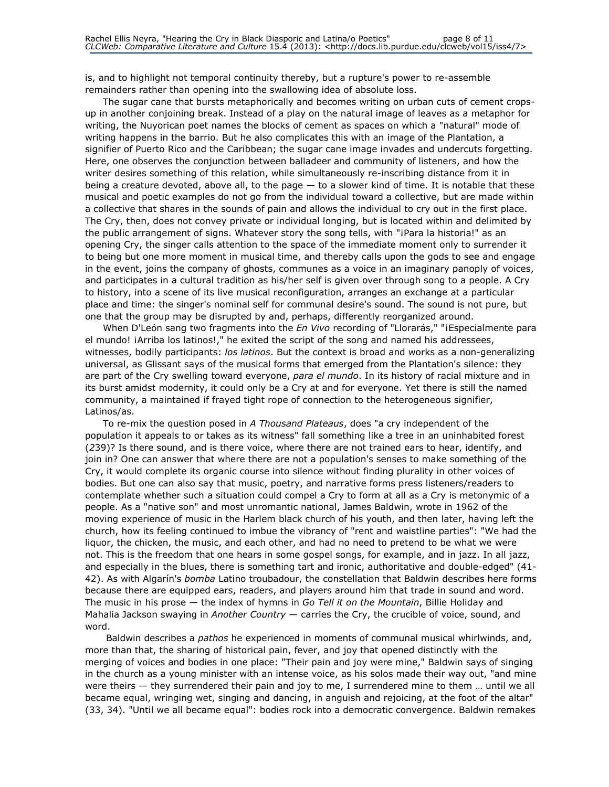is, and to highlight not temporal continuity thereby, but a rupture's power to re-assemble remainders rather than opening into the swallowing idea of absolute loss.

The sugar cane that bursts metaphorically and becomes writing on urban cuts of cement cropsup in another conjoining break. Instead of a play on the natural image of leaves as a metaphor for writing, the Nuyorican poet names the blocks of cement as spaces on which a "natural" mode of writing happens in the barrio. But he also complicates this with an image of the Plantation, a signifier of Puerto Rico and the Caribbean; the sugar cane image invades and undercuts forgetting. Here, one observes the conjunction between balladeer and community of listeners, and how the writer desires something of this relation, while simultaneously re-inscribing distance from it in being a creature devoted, above all, to the page — to a slower kind of time. It is notable that these musical and poetic examples do not go from the individual toward a collective, but are made within a collective that shares in the sounds of pain and allows the individual to cry out in the first place. The Cry, then, does not convey private or individual longing, but is located within and delimited by the public arrangement of signs. Whatever story the song tells, with "¡Para la historia!" as an opening Cry, the singer calls attention to the space of the immediate moment only to surrender it to being but one more moment in musical time, and thereby calls upon the gods to see and engage in the event, joins the company of ghosts, communes as a voice in an imaginary panoply of voices, and participates in a cultural tradition as his/her self is given over through song to a people. A Cry to history, into a scene of its live musical reconfiguration, arranges an exchange at a particular place and time: the singer's nominal self for communal desire's sound. The sound is not pure, but one that the group may be disrupted by and, perhaps, differently reorganized around.

When D'León sang two fragments into the *En Vivo* recording of "Llorarás," "iEspecialmente para el mundo! *iArriba los latinos!*," he exited the script of the song and named his addressees, witnesses, bodily participants: los latinos. But the context is broad and works as a non-generalizing universal, as Glissant says of the musical forms that emerged from the Plantation's silence: they are part of the Cry swelling toward everyone, para el mundo. In its history of racial mixture and in its burst amidst modernity, it could only be a Cry at and for everyone. Yet there is still the named community, a maintained if frayed tight rope of connection to the heterogeneous signifier, Latinos/as.

To re-mix the question posed in A Thousand Plateaus, does "a cry independent of the population it appeals to or takes as its witness" fall something like a tree in an uninhabited forest (239)? Is there sound, and is there voice, where there are not trained ears to hear, identify, and join in? One can answer that where there are not a population's senses to make something of the Cry, it would complete its organic course into silence without finding plurality in other voices of bodies. But one can also say that music, poetry, and narrative forms press listeners/readers to contemplate whether such a situation could compel a Cry to form at all as a Cry is metonymic of a people. As a "native son" and most unromantic national, James Baldwin, wrote in 1962 of the moving experience of music in the Harlem black church of his youth, and then later, having left the church, how its feeling continued to imbue the vibrancy of "rent and waistline parties": "We had the liquor, the chicken, the music, and each other, and had no need to pretend to be what we were not. This is the freedom that one hears in some gospel songs, for example, and in jazz. In all jazz, and especially in the blues, there is something tart and ironic, authoritative and double-edged" (41- 42). As with Algarín's bomba Latino troubadour, the constellation that Baldwin describes here forms because there are equipped ears, readers, and players around him that trade in sound and word. The music in his prose — the index of hymns in Go Tell it on the Mountain, Billie Holiday and Mahalia Jackson swaying in Another Country - carries the Cry, the crucible of voice, sound, and word.

Baldwin describes a *pathos* he experienced in moments of communal musical whirlwinds, and, more than that, the sharing of historical pain, fever, and joy that opened distinctly with the merging of voices and bodies in one place: "Their pain and joy were mine," Baldwin says of singing in the church as a young minister with an intense voice, as his solos made their way out, "and mine were theirs — they surrendered their pain and joy to me, I surrendered mine to them … until we all became equal, wringing wet, singing and dancing, in anguish and rejoicing, at the foot of the altar" (33, 34). "Until we all became equal": bodies rock into a democratic convergence. Baldwin remakes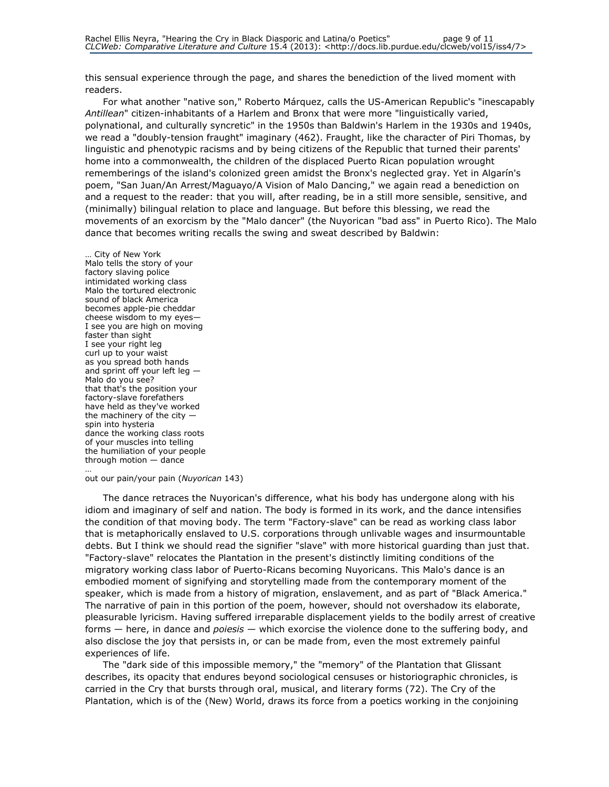this sensual experience through the page, and shares the benediction of the lived moment with readers.

For what another "native son," Roberto Márquez, calls the US-American Republic's "inescapably Antillean" citizen-inhabitants of a Harlem and Bronx that were more "linguistically varied, polynational, and culturally syncretic" in the 1950s than Baldwin's Harlem in the 1930s and 1940s, we read a "doubly-tension fraught" imaginary (462). Fraught, like the character of Piri Thomas, by linguistic and phenotypic racisms and by being citizens of the Republic that turned their parents' home into a commonwealth, the children of the displaced Puerto Rican population wrought rememberings of the island's colonized green amidst the Bronx's neglected gray. Yet in Algarín's poem, "San Juan/An Arrest/Maguayo/A Vision of Malo Dancing," we again read a benediction on and a request to the reader: that you will, after reading, be in a still more sensible, sensitive, and (minimally) bilingual relation to place and language. But before this blessing, we read the movements of an exorcism by the "Malo dancer" (the Nuyorican "bad ass" in Puerto Rico). The Malo dance that becomes writing recalls the swing and sweat described by Baldwin:

… City of New York Malo tells the story of your factory slaving police intimidated working class Malo the tortured electronic sound of black America becomes apple-pie cheddar cheese wisdom to my eyes— I see you are high on moving faster than sight I see your right leg curl up to your waist as you spread both hands and sprint off your left leg — Malo do you see? that that's the position your factory-slave forefathers have held as they've worked the machinery of the city spin into hysteria dance the working class roots of your muscles into telling the humiliation of your people through motion — dance

… out our pain/your pain (Nuyorican 143)

The dance retraces the Nuyorican's difference, what his body has undergone along with his idiom and imaginary of self and nation. The body is formed in its work, and the dance intensifies the condition of that moving body. The term "Factory-slave" can be read as working class labor that is metaphorically enslaved to U.S. corporations through unlivable wages and insurmountable debts. But I think we should read the signifier "slave" with more historical guarding than just that. "Factory-slave" relocates the Plantation in the present's distinctly limiting conditions of the migratory working class labor of Puerto-Ricans becoming Nuyoricans. This Malo's dance is an embodied moment of signifying and storytelling made from the contemporary moment of the speaker, which is made from a history of migration, enslavement, and as part of "Black America." The narrative of pain in this portion of the poem, however, should not overshadow its elaborate, pleasurable lyricism. Having suffered irreparable displacement yields to the bodily arrest of creative forms - here, in dance and poiesis - which exorcise the violence done to the suffering body, and also disclose the joy that persists in, or can be made from, even the most extremely painful experiences of life.

The "dark side of this impossible memory," the "memory" of the Plantation that Glissant describes, its opacity that endures beyond sociological censuses or historiographic chronicles, is carried in the Cry that bursts through oral, musical, and literary forms (72). The Cry of the Plantation, which is of the (New) World, draws its force from a poetics working in the conjoining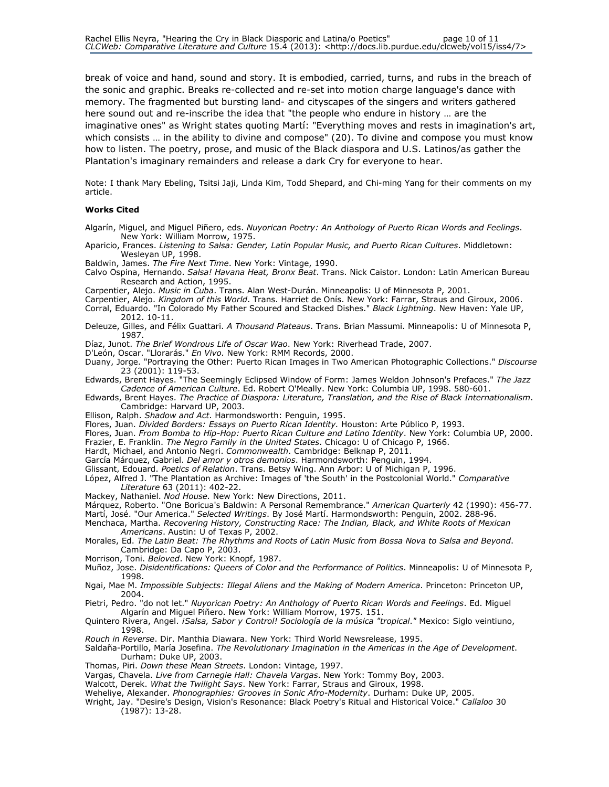break of voice and hand, sound and story. It is embodied, carried, turns, and rubs in the breach of the sonic and graphic. Breaks re-collected and re-set into motion charge language's dance with memory. The fragmented but bursting land- and cityscapes of the singers and writers gathered here sound out and re-inscribe the idea that "the people who endure in history … are the imaginative ones" as Wright states quoting Martí: "Everything moves and rests in imagination's art, which consists … in the ability to divine and compose" (20). To divine and compose you must know how to listen. The poetry, prose, and music of the Black diaspora and U.S. Latinos/as gather the Plantation's imaginary remainders and release a dark Cry for everyone to hear.

Note: I thank Mary Ebeling, Tsitsi Jaji, Linda Kim, Todd Shepard, and Chi-ming Yang for their comments on my article.

### Works Cited

- Algarín, Miguel, and Miguel Piñero, eds. Nuyorican Poetry: An Anthology of Puerto Rican Words and Feelings. New York: William Morrow, 1975.
- Aparicio, Frances. Listening to Salsa: Gender, Latin Popular Music, and Puerto Rican Cultures. Middletown: Wesleyan UP, 1998.
- Baldwin, James. The Fire Next Time. New York: Vintage, 1990.
- Calvo Ospina, Hernando. Salsa! Havana Heat, Bronx Beat. Trans. Nick Caistor. London: Latin American Bureau Research and Action, 1995.
- Carpentier, Alejo. Music in Cuba. Trans. Alan West-Durán. Minneapolis: U of Minnesota P, 2001.
- Carpentier, Alejo. Kingdom of this World. Trans. Harriet de Onís. New York: Farrar, Straus and Giroux, 2006.
- Corral, Eduardo. "In Colorado My Father Scoured and Stacked Dishes." Black Lightning. New Haven: Yale UP, 2012. 10-11.
- Deleuze, Gilles, and Félix Guattari. A Thousand Plateaus. Trans. Brian Massumi. Minneapolis: U of Minnesota P, 1987.
- Díaz, Junot. The Brief Wondrous Life of Oscar Wao. New York: Riverhead Trade, 2007.
- D'León, Oscar. "Llorarás." En Vivo. New York: RMM Records, 2000.
- Duany, Jorge. "Portraying the Other: Puerto Rican Images in Two American Photographic Collections." Discourse 23 (2001): 119-53.
- Edwards, Brent Hayes. "The Seemingly Eclipsed Window of Form: James Weldon Johnson's Prefaces." The Jazz Cadence of American Culture. Ed. Robert O'Meally. New York: Columbia UP, 1998. 580-601.
- Edwards, Brent Hayes. The Practice of Diaspora: Literature, Translation, and the Rise of Black Internationalism. Cambridge: Harvard UP, 2003.
- Ellison, Ralph. Shadow and Act. Harmondsworth: Penguin, 1995.
- Flores, Juan. Divided Borders: Essays on Puerto Rican Identity. Houston: Arte Público P, 1993.
- Flores, Juan. From Bomba to Hip-Hop: Puerto Rican Culture and Latino Identity. New York: Columbia UP, 2000.
- Frazier, E. Franklin. The Negro Family in the United States. Chicago: U of Chicago P, 1966.
- Hardt, Michael, and Antonio Negri. Commonwealth. Cambridge: Belknap P, 2011.
- García Márquez, Gabriel. Del amor y otros demonios. Harmondsworth: Penguin, 1994.
- Glissant, Edouard. Poetics of Relation. Trans. Betsy Wing. Ann Arbor: U of Michigan P, 1996.
- López, Alfred J. "The Plantation as Archive: Images of 'the South' in the Postcolonial World." Comparative Literature 63 (2011): 402-22.
- Mackey, Nathaniel. Nod House. New York: New Directions, 2011.
- Márquez, Roberto. "One Boricua's Baldwin: A Personal Remembrance." American Quarterly 42 (1990): 456-77.

Martí, José. "Our America." Selected Writings. By José Martí. Harmondsworth: Penguin, 2002. 288-96.

- Menchaca, Martha. Recovering History, Constructing Race: The Indian, Black, and White Roots of Mexican Americans. Austin: U of Texas P, 2002.
- Morales, Ed. The Latin Beat: The Rhythms and Roots of Latin Music from Bossa Nova to Salsa and Beyond. Cambridge: Da Capo P, 2003.
- Morrison, Toni. Beloved. New York: Knopf, 1987.
- Muñoz, Jose. Disidentifications: Queers of Color and the Performance of Politics. Minneapolis: U of Minnesota P, 1998.
- Ngai, Mae M. Impossible Subjects: Illegal Aliens and the Making of Modern America. Princeton: Princeton UP, 2004.
- Pietri, Pedro. "do not let." Nuyorican Poetry: An Anthology of Puerto Rican Words and Feelings. Ed. Miguel Algarín and Miguel Piñero. New York: William Morrow, 1975. 151.
- Quintero Rivera, Angel. *¡Salsa, Sabor y Control! Sociología de la música "tropical."* Mexico: Siglo veintiuno, 1998.
- Rouch in Reverse. Dir. Manthia Diawara. New York: Third World Newsrelease, 1995.
- Saldaña-Portillo, María Josefina. The Revolutionary Imagination in the Americas in the Age of Development. Durham: Duke UP, 2003.
- Thomas, Piri. Down these Mean Streets. London: Vintage, 1997.
- Vargas, Chavela. Live from Carnegie Hall: Chavela Vargas. New York: Tommy Boy, 2003.
- Walcott, Derek. What the Twilight Says. New York: Farrar, Straus and Giroux, 1998.
- Weheliye, Alexander. Phonographies: Grooves in Sonic Afro-Modernity. Durham: Duke UP, 2005.
- Wright, Jay. "Desire's Design, Vision's Resonance: Black Poetry's Ritual and Historical Voice." Callaloo 30 (1987): 13-28.